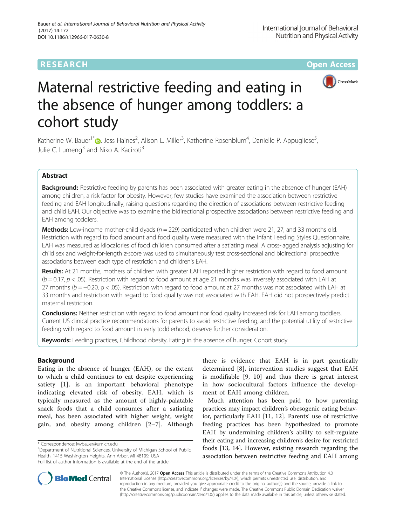# RESEARCH **RESEARCH CONSUMING THE CONSUMING THE CONSUMING TENS**



# Maternal restrictive feeding and eating in the absence of hunger among toddlers: a cohort study

Katherine W. Bauer<sup>1\*</sup> D, Jess Haines<sup>2</sup>, Alison L. Miller<sup>3</sup>, Katherine Rosenblum<sup>4</sup>, Danielle P. Appugliese<sup>5</sup> , Julie C. Lumeng $3$  and Niko A. Kaciroti<sup>3</sup>

# Abstract

Background: Restrictive feeding by parents has been associated with greater eating in the absence of hunger (EAH) among children, a risk factor for obesity. However, few studies have examined the association between restrictive feeding and EAH longitudinally, raising questions regarding the direction of associations between restrictive feeding and child EAH. Our objective was to examine the bidirectional prospective associations between restrictive feeding and EAH among toddlers.

**Methods:** Low-income mother-child dyads  $(n = 229)$  participated when children were 21, 27, and 33 months old. Restriction with regard to food amount and food quality were measured with the Infant Feeding Styles Questionnaire. EAH was measured as kilocalories of food children consumed after a satiating meal. A cross-lagged analysis adjusting for child sex and weight-for-length z-score was used to simultaneously test cross-sectional and bidirectional prospective associations between each type of restriction and children's EAH.

Results: At 21 months, mothers of children with greater EAH reported higher restriction with regard to food amount  $(b = 0.17, p < .05)$ . Restriction with regard to food amount at age 21 months was inversely associated with EAH at 27 months (b = −0.20, p < .05). Restriction with regard to food amount at 27 months was not associated with EAH at 33 months and restriction with regard to food quality was not associated with EAH. EAH did not prospectively predict maternal restriction.

**Conclusions:** Neither restriction with regard to food amount nor food quality increased risk for EAH among toddlers. Current US clinical practice recommendations for parents to avoid restrictive feeding, and the potential utility of restrictive feeding with regard to food amount in early toddlerhood, deserve further consideration.

Keywords: Feeding practices, Childhood obesity, Eating in the absence of hunger, Cohort study

## Background

Eating in the absence of hunger (EAH), or the extent to which a child continues to eat despite experiencing satiety [[1\]](#page-8-0), is an important behavioral phenotype indicating elevated risk of obesity. EAH, which is typically measured as the amount of highly-palatable snack foods that a child consumes after a satiating meal, has been associated with higher weight, weight gain, and obesity among children [[2](#page-8-0)–[7\]](#page-8-0). Although

<sup>1</sup>Department of Nutritional Sciences, University of Michigan School of Public Health, 1415 Washington Heights, Ann Arbor, MI 48109, USA Full list of author information is available at the end of the article

there is evidence that EAH is in part genetically determined [[8\]](#page-8-0), intervention studies suggest that EAH is modifiable [[9, 10](#page-8-0)] and thus there is great interest in how sociocultural factors influence the development of EAH among children.

Much attention has been paid to how parenting practices may impact children's obesogenic eating behavior, particularly EAH [\[11](#page-8-0), [12](#page-8-0)]. Parents' use of restrictive feeding practices has been hypothesized to promote EAH by undermining children's ability to self-regulate their eating and increasing children's desire for restricted foods [[13, 14](#page-8-0)]. However, existing research regarding the association between restrictive feeding and EAH among



© The Author(s). 2017 **Open Access** This article is distributed under the terms of the Creative Commons Attribution 4.0 International License [\(http://creativecommons.org/licenses/by/4.0/](http://creativecommons.org/licenses/by/4.0/)), which permits unrestricted use, distribution, and reproduction in any medium, provided you give appropriate credit to the original author(s) and the source, provide a link to the Creative Commons license, and indicate if changes were made. The Creative Commons Public Domain Dedication waiver [\(http://creativecommons.org/publicdomain/zero/1.0/](http://creativecommons.org/publicdomain/zero/1.0/)) applies to the data made available in this article, unless otherwise stated.

<sup>\*</sup> Correspondence: [kwbauer@umich.edu](mailto:kwbauer@umich.edu) <sup>1</sup>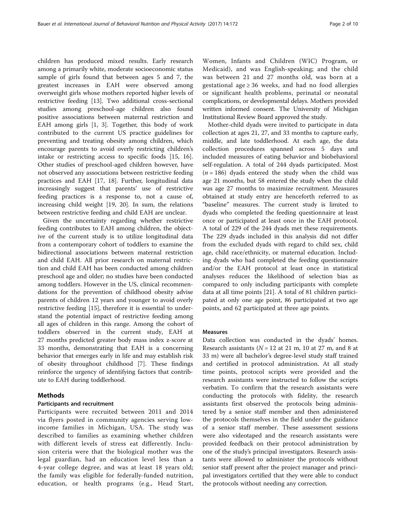children has produced mixed results. Early research among a primarily white, moderate socioeconomic status sample of girls found that between ages 5 and 7, the greatest increases in EAH were observed among overweight girls whose mothers reported higher levels of restrictive feeding [\[13](#page-8-0)]. Two additional cross-sectional studies among preschool-age children also found positive associations between maternal restriction and EAH among girls [[1](#page-8-0), [3\]](#page-8-0). Together, this body of work contributed to the current US practice guidelines for preventing and treating obesity among children, which encourage parents to avoid overly restricting children's intake or restricting access to specific foods [\[15, 16](#page-8-0)]. Other studies of preschool-aged children however, have not observed any associations between restrictive feeding practices and EAH [[17, 18](#page-8-0)]. Further, longitudinal data increasingly suggest that parents' use of restrictive feeding practices is a response to, not a cause of, increasing child weight [[19, 20\]](#page-8-0). In sum, the relations between restrictive feeding and child EAH are unclear.

Given the uncertainty regarding whether restrictive feeding contributes to EAH among children, the objective of the current study is to utilize longitudinal data from a contemporary cohort of toddlers to examine the bidirectional associations between maternal restriction and child EAH. All prior research on maternal restriction and child EAH has been conducted among children preschool age and older; no studies have been conducted among toddlers. However in the US, clinical recommendations for the prevention of childhood obesity advise parents of children 12 years and younger to avoid overly restrictive feeding [\[15](#page-8-0)], therefore it is essential to understand the potential impact of restrictive feeding among all ages of children in this range. Among the cohort of toddlers observed in the current study, EAH at 27 months predicted greater body mass index z-score at 33 months, demonstrating that EAH is a concerning behavior that emerges early in life and may establish risk of obesity throughout childhood [\[7\]](#page-8-0). These findings reinforce the urgency of identifying factors that contribute to EAH during toddlerhood.

## Methods

### Participants and recruitment

Participants were recruited between 2011 and 2014 via flyers posted in community agencies serving lowincome families in Michigan, USA. The study was described to families as examining whether children with different levels of stress eat differently. Inclusion criteria were that the biological mother was the legal guardian, had an education level less than a 4-year college degree, and was at least 18 years old; the family was eligible for federally-funded nutrition, education, or health programs (e.g., Head Start,

Women, Infants and Children (WIC) Program, or Medicaid), and was English-speaking; and the child was between 21 and 27 months old, was born at a gestational age ≥ 36 weeks, and had no food allergies or significant health problems, perinatal or neonatal complications, or developmental delays. Mothers provided written informed consent. The University of Michigan Institutional Review Board approved the study.

Mother-child dyads were invited to participate in data collection at ages 21, 27, and 33 months to capture early, middle, and late toddlerhood. At each age, the data collection procedures spanned across 5 days and included measures of eating behavior and biobehavioral self-regulation. A total of 244 dyads participated. Most  $(n = 186)$  dyads entered the study when the child was age 21 months, but 58 entered the study when the child was age 27 months to maximize recruitment. Measures obtained at study entry are henceforth referred to as "baseline" measures. The current study is limited to dyads who completed the feeding questionnaire at least once or participated at least once in the EAH protocol. A total of 229 of the 244 dyads met these requirements. The 229 dyads included in this analysis did not differ from the excluded dyads with regard to child sex, child age, child race/ethnicity, or maternal education. Including dyads who had completed the feeding questionnaire and/or the EAH protocol at least once in statistical analyses reduces the likelihood of selection bias as compared to only including participants with complete data at all time points [\[21\]](#page-8-0). A total of 81 children participated at only one age point, 86 participated at two age points, and 62 participated at three age points.

#### Measures

Data collection was conducted in the dyads' homes. Research assistants ( $N = 12$  at 21 m, 10 at 27 m, and 8 at 33 m) were all bachelor's degree-level study staff trained and certified in protocol administration. At all study time points, protocol scripts were provided and the research assistants were instructed to follow the scripts verbatim. To confirm that the research assistants were conducting the protocols with fidelity, the research assistants first observed the protocols being administered by a senior staff member and then administered the protocols themselves in the field under the guidance of a senior staff member. These assessment sessions were also videotaped and the research assistants were provided feedback on their protocol administration by one of the study's principal investigators. Research assistants were allowed to administer the protocols without senior staff present after the project manager and principal investigators certified that they were able to conduct the protocols without needing any correction.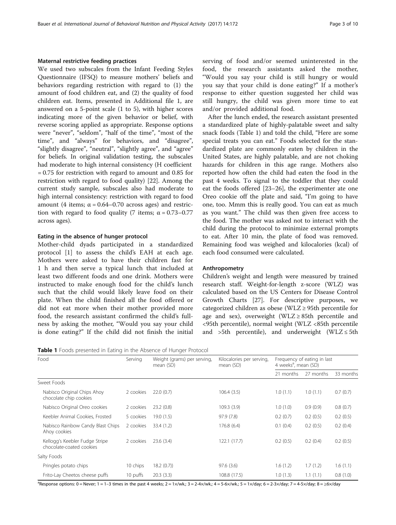#### Maternal restrictive feeding practices

We used two subscales from the Infant Feeding Styles Questionnaire (IFSQ) to measure mothers' beliefs and behaviors regarding restriction with regard to (1) the amount of food children eat, and (2) the quality of food children eat. Items, presented in Additional file [1](#page-7-0), are answered on a 5-point scale (1 to 5), with higher scores indicating more of the given behavior or belief, with reverse scoring applied as appropriate. Response options were "never", "seldom", "half of the time", "most of the time", and "always" for behaviors, and "disagree", "slightly disagree", "neutral", "slightly agree", and "agree" for beliefs. In original validation testing, the subscales had moderate to high internal consistency (H coefficient = 0.75 for restriction with regard to amount and 0.85 for restriction with regard to food quality) [[22\]](#page-8-0). Among the current study sample, subscales also had moderate to high internal consistency: restriction with regard to food amount (4 items;  $α = 0.64 - 0.70$  across ages) and restriction with regard to food quality (7 items;  $\alpha = 0.73 - 0.77$ across ages).

## Eating in the absence of hunger protocol

Mother-child dyads participated in a standardized protocol [[1\]](#page-8-0) to assess the child's EAH at each age. Mothers were asked to have their children fast for 1 h and then serve a typical lunch that included at least two different foods and one drink. Mothers were instructed to make enough food for the child's lunch such that the child would likely leave food on their plate. When the child finished all the food offered or did not eat more when their mother provided more food, the research assistant confirmed the child's fullness by asking the mother, "Would you say your child is done eating?" If the child did not finish the initial

|  |  |  | <b>Table 1</b> Foods presented in Eating in the Absence of Hunger Protocol |
|--|--|--|----------------------------------------------------------------------------|
|--|--|--|----------------------------------------------------------------------------|

| Food                                                       | Serving   | Weight (grams) per serving,<br>mean (SD) | Kilocalories per serving,<br>mean (SD) | 4 weeks <sup>a</sup> , mean (SD) | Frequency of eating in last |           |
|------------------------------------------------------------|-----------|------------------------------------------|----------------------------------------|----------------------------------|-----------------------------|-----------|
|                                                            |           |                                          |                                        | 21 months                        | 27 months                   | 33 months |
| Sweet Foods                                                |           |                                          |                                        |                                  |                             |           |
| Nabisco Original Chips Ahoy<br>chocolate chip cookies      | 2 cookies | 22.0(0.7)                                | 106.4(3.5)                             | 1.0(1.1)                         | 1.0(1.1)                    | 0.7(0.7)  |
| Nabisco Original Oreo cookies                              | 2 cookies | 23.2(0.8)                                | 109.3(3.9)                             | 1.0(1.0)                         | 0.9(0.9)                    | 0.8(0.7)  |
| Keebler Animal Cookies, Frosted                            | 5 cookies | 19.0(1.5)                                | 97.9(7.8)                              | 0.2(0.7)                         | 0.2(0.5)                    | 0.2(0.5)  |
| Nabisco Rainbow Candy Blast Chips<br>Ahoy cookies          | 2 cookies | 33.4(1.2)                                | 176.8(6.4)                             | 0.1(0.4)                         | 0.2(0.5)                    | 0.2(0.4)  |
| Kellogg's Keebler Fudge Stripe<br>chocolate-coated cookies | 2 cookies | 23.6(3.4)                                | 122.1(17.7)                            | 0.2(0.5)                         | 0.2(0.4)                    | 0.2(0.5)  |
| Salty Foods                                                |           |                                          |                                        |                                  |                             |           |
| Pringles potato chips                                      | 10 chips  | 18.2(0.7)                                | 97.6(3.6)                              | 1.6(1.2)                         | 1.7(1.2)                    | 1.6(1.1)  |
| Frito-Lay Cheetos cheese puffs                             | 10 puffs  | 20.3(3.3)                                | 108.8 (17.5)                           | 1.0(1.3)                         | 1.1(1.1)                    | 0.8(1.0)  |

a<br>Response options: 0 = Never; 1 = 1–3 times in the past 4 weeks; 2 = 1×/wk.; 3 = 2-4×/wk.; 4 = 5-6×/wk.; 5 = 1×/day; 6 = 2-3×/day; 7 = 4-5×/day; 8 = ≥6×/day

serving of food and/or seemed uninterested in the food, the research assistants asked the mother, "Would you say your child is still hungry or would you say that your child is done eating?" If a mother's response to either question suggested her child was still hungry, the child was given more time to eat and/or provided additional food.

After the lunch ended, the research assistant presented a standardized plate of highly-palatable sweet and salty snack foods (Table 1) and told the child, "Here are some special treats you can eat." Foods selected for the standardized plate are commonly eaten by children in the United States, are highly palatable, and are not choking hazards for children in this age range. Mothers also reported how often the child had eaten the food in the past 4 weeks. To signal to the toddler that they could eat the foods offered [\[23](#page-8-0)–[26](#page-8-0)], the experimenter ate one Oreo cookie off the plate and said, "I'm going to have one, too. Mmm this is really good. You can eat as much as you want." The child was then given free access to the food. The mother was asked not to interact with the child during the protocol to minimize external prompts to eat. After 10 min, the plate of food was removed. Remaining food was weighed and kilocalories (kcal) of each food consumed were calculated.

## Anthropometry

Children's weight and length were measured by trained research staff. Weight-for-length z-score (WLZ) was calculated based on the US Centers for Disease Control Growth Charts [[27\]](#page-8-0). For descriptive purposes, we categorized children as obese (WLZ ≥ 95th percentile for age and sex), overweight (WLZ  $\geq$  85th percentile and <95th percentile), normal weight (WLZ <85th percentile and >5th percentile), and underweight (WLZ  $\leq$  5th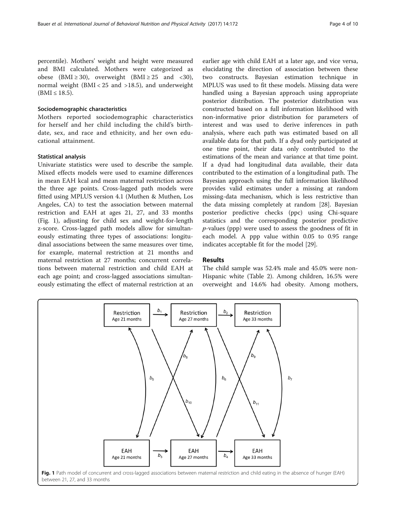<span id="page-3-0"></span>percentile). Mothers' weight and height were measured and BMI calculated. Mothers were categorized as obese (BMI  $\geq$  30), overweight (BMI  $\geq$  25 and <30), normal weight (BMI < 25 and >18.5), and underweight  $(BMI \le 18.5)$ .

## Sociodemographic characteristics

Mothers reported sociodemographic characteristics for herself and her child including the child's birthdate, sex, and race and ethnicity, and her own educational attainment.

#### Statistical analysis

Univariate statistics were used to describe the sample. Mixed effects models were used to examine differences in mean EAH kcal and mean maternal restriction across the three age points. Cross-lagged path models were fitted using MPLUS version 4.1 (Muthen & Muthen, Los Angeles, CA) to test the association between maternal restriction and EAH at ages 21, 27, and 33 months (Fig. 1), adjusting for child sex and weight-for-length z-score. Cross-lagged path models allow for simultaneously estimating three types of associations: longitudinal associations between the same measures over time, for example, maternal restriction at 21 months and maternal restriction at 27 months; concurrent correlations between maternal restriction and child EAH at each age point; and cross-lagged associations simultaneously estimating the effect of maternal restriction at an

earlier age with child EAH at a later age, and vice versa, elucidating the direction of association between these two constructs. Bayesian estimation technique in MPLUS was used to fit these models. Missing data were handled using a Bayesian approach using appropriate posterior distribution. The posterior distribution was constructed based on a full information likelihood with non-informative prior distribution for parameters of interest and was used to derive inferences in path analysis, where each path was estimated based on all available data for that path. If a dyad only participated at one time point, their data only contributed to the estimations of the mean and variance at that time point. If a dyad had longitudinal data available, their data contributed to the estimation of a longitudinal path. The Bayesian approach using the full information likelihood provides valid estimates under a missing at random missing-data mechanism, which is less restrictive than the data missing completely at random [\[28\]](#page-8-0). Bayesian posterior predictive checks (ppc) using Chi-square statistics and the corresponding posterior predictive  $p$ -values (ppp) were used to assess the goodness of fit in each model. A ppp value within 0.05 to 0.95 range indicates acceptable fit for the model [\[29](#page-8-0)].

## Results

The child sample was 52.4% male and 45.0% were non-Hispanic white (Table [2](#page-4-0)). Among children, 16.5% were overweight and 14.6% had obesity. Among mothers,

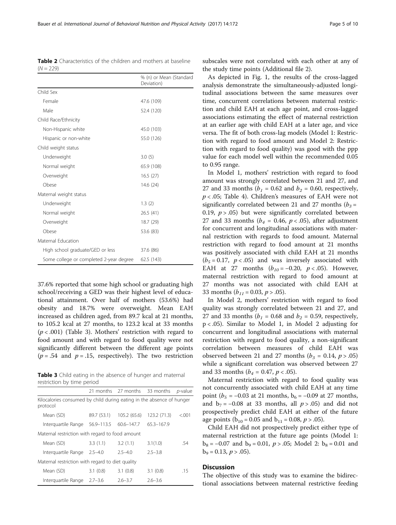37.6% reported that some high school or graduating high school/receiving a GED was their highest level of educational attainment. Over half of mothers (53.6%) had obesity and 18.7% were overweight. Mean EAH increased as children aged, from 89.7 kcal at 21 months, to 105.2 kcal at 27 months, to 123.2 kcal at 33 months  $(p < .001)$  (Table 3). Mothers' restriction with regard to food amount and with regard to food quality were not significantly different between the different age points  $(p = .54$  and  $p = .15$ , respectively). The two restriction

High school graduate/GED or less 37.6 (86) Some college or completed 2-year degree 62.5 (143)

Table 3 Child eating in the absence of hunger and maternal restriction by time period

|                                                                                   |             | 21 months 27 months 33 months |              | <i>p</i> -value |
|-----------------------------------------------------------------------------------|-------------|-------------------------------|--------------|-----------------|
| Kilocalories consumed by child during eating in the absence of hunger<br>protocol |             |                               |              |                 |
| Mean (SD)                                                                         | 89.7 (53.1) | 105.2 (65.6)                  | 123.2 (71.3) | < 0.01          |
| Interguartile Range 56.9-113.5                                                    |             | $60.6 - 147.7$                | 65.3-167.9   |                 |
| Maternal restriction with regard to food amount                                   |             |                               |              |                 |
| Mean (SD)                                                                         | 3.3(1.1)    | 3.2(1.1)                      | 3.1(1.0)     | .54             |
| Interguartile Range                                                               | $2.5 - 4.0$ | $2.5 - 4.0$                   | $2.5 - 3.8$  |                 |
| Maternal restriction with regard to diet quality                                  |             |                               |              |                 |
| Mean (SD)                                                                         | 3.1(0.8)    | 3.1(0.8)                      | 3.1(0.8)     | .15             |
| Interguartile Range                                                               | $2.7 - 3.6$ | $2.6 - 3.7$                   | $2.6 - 3.6$  |                 |

subscales were not correlated with each other at any of the study time points (Additional file [2](#page-7-0)).

As depicted in Fig. [1](#page-3-0), the results of the cross-lagged analysis demonstrate the simultaneously-adjusted longitudinal associations between the same measures over time, concurrent correlations between maternal restriction and child EAH at each age point, and cross-lagged associations estimating the effect of maternal restriction at an earlier age with child EAH at a later age, and vice versa. The fit of both cross-lag models (Model 1: Restriction with regard to food amount and Model 2: Restriction with regard to food quality) was good with the ppp value for each model well within the recommended 0.05 to 0.95 range.

In Model 1, mothers' restriction with regard to food amount was strongly correlated between 21 and 27, and 27 and 33 months ( $b_1$  = 0.62 and  $b_2$  = 0.60, respectively,  $p < .05$ ; Table [4](#page-5-0)). Children's measures of EAH were not significantly correlated between 21 and 27 months ( $b_3$  = 0.19,  $p > .05$ ) but were significantly correlated between 27 and 33 months ( $b_4$  = 0.46,  $p < .05$ ), after adjustment for concurrent and longitudinal associations with maternal restriction with regards to food amount. Maternal restriction with regard to food amount at 21 months was positively associated with child EAH at 21 months  $(b<sub>5</sub> = 0.17, p < .05)$  and was inversely associated with EAH at 27 months  $(b_{10} = -0.20, p < .05)$ . However, maternal restriction with regard to food amount at 27 months was not associated with child EAH at 33 months ( $b_{11}$  = 0.03,  $p > .05$ ).

In Model 2, mothers' restriction with regard to food quality was strongly correlated between 21 and 27, and 27 and 33 months ( $b_1$  = 0.68 and  $b_2$  = 0.59, respectively, p < .05). Similar to Model 1, in Model 2 adjusting for concurrent and longitudinal associations with maternal restriction with regard to food quality, a non-significant correlation between measures of child EAH was observed between 21 and 27 months ( $b_3 = 0.14$ ,  $p > .05$ ) while a significant correlation was observed between 27 and 33 months ( $b_4 = 0.47$ ,  $p < .05$ ).

Maternal restriction with regard to food quality was not concurrently associated with child EAH at any time point ( $b_5 = -0.03$  at 21 months,  $b_6 = -0.09$  at 27 months, and  $b_7 = -0.08$  at 33 months, all  $p > .05$ ) and did not prospectively predict child EAH at either of the future age points ( $b_{10} = 0.05$  and  $b_{11} = 0.08$ ,  $p > .05$ ).

Child EAH did not prospectively predict either type of maternal restriction at the future age points (Model 1:  $b_8 = -0.07$  and  $b_9 = 0.01$ ,  $p > .05$ ; Model 2:  $b_8 = 0.01$  and  $b_9 = 0.13, p > .05$ ).

## **Discussion**

The objective of this study was to examine the bidirectional associations between maternal restrictive feeding

<span id="page-4-0"></span>Table 2 Characteristics of the children and mothers at baseline  $(N = 229)$ 

|                        | % (n) or Mean (Standard<br>Deviation) |
|------------------------|---------------------------------------|
| Child Sex              |                                       |
| Female                 | 47.6 (109)                            |
| Male                   | 52.4 (120)                            |
| Child Race/Ethnicity   |                                       |
| Non-Hispanic white     | 45.0 (103)                            |
| Hispanic or non-white  | 55.0 (126)                            |
| Child weight status    |                                       |
| Underweight            | 3.0(5)                                |
| Normal weight          | 65.9 (108)                            |
| Overweight             | 16.5(27)                              |
| Obese                  | 14.6(24)                              |
| Maternal weight status |                                       |
| Underweight            | 1.3(2)                                |
| Normal weight          | 26.5(41)                              |
| Overweight             | 18.7 (29)                             |
| Obese                  | 53.6 (83)                             |

Maternal Education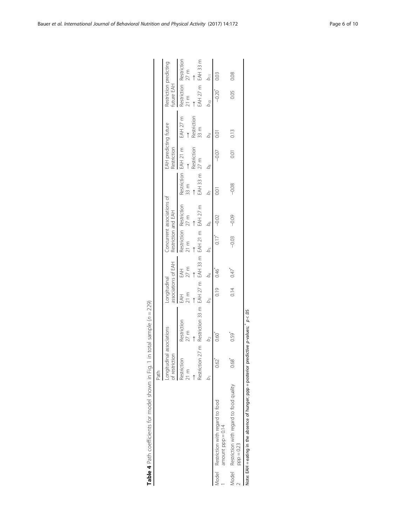<span id="page-5-0"></span>

|                                                               | Path                           |                                                      |                                     |             |                                           |                            |                              |                                      |             |                                           |      |
|---------------------------------------------------------------|--------------------------------|------------------------------------------------------|-------------------------------------|-------------|-------------------------------------------|----------------------------|------------------------------|--------------------------------------|-------------|-------------------------------------------|------|
|                                                               | of restriction<br>Longitudinal | associations                                         | associations of EAH<br>.ongitudinal |             | Restriction and EAH                       | Concurrent associations of |                              | EAH predicting future<br>Restriction |             | Restriction predicting<br>future EAH      |      |
|                                                               | Restriction<br>21 m            | Restriction<br>$27 \text{ m}$                        | $21 \text{ m}$<br>EAH               | 27 m<br>EAH | Restriction Restriction<br>$21 \text{ m}$ | 27 <sub>m</sub>            | Restriction EAH 21 m<br>33 m |                                      | EAH 27 m    | Restriction Restriction<br>$21 \text{ m}$ | 27 m |
|                                                               |                                |                                                      |                                     | $\uparrow$  |                                           |                            |                              | Restriction                          | Restriction | $\uparrow$                                |      |
|                                                               | Restriction 27                 | Restriction 33 m EAH 27 m EAH 33 m EAH 21 m EAH 27 m |                                     |             |                                           |                            | EAH 33 m 27 m                |                                      | 33 m        | EAH 27 m EAH 33 m                         |      |
|                                                               |                                |                                                      |                                     |             |                                           | b <sub>6</sub>             |                              |                                      |             | bio<br>D                                  |      |
| Model Restriction with regard to food<br>amount $ppp = 0.14$  | 0.62                           | 0.60                                                 | 0.19                                | 0.46        | 217                                       | $-0.02$                    | CO<br>O                      | $-0.07$                              | 0.01        | $-0.20$                                   | 0.03 |
| Model Restriction with regard to food quality<br>$ppp = 0.23$ | 0.68                           | ).59                                                 | 0.14                                | 0.47        | $-0.03$                                   | $-0.09$                    | $-0.08$                      | $\overline{0}$                       | 0.13        | 0.05                                      | 0.08 |

| ׇׇ֧֧֢֦֧֢ׅ֚֡֝<br>֧֖֧֧ׅ֧֚֚֚֚֚֚֚֚֚֚֚֚֚֚֚֚֚֚֚֚֚֚֝֜֓<br>¢<br>I<br>$\overline{a}$ |
|-----------------------------------------------------------------------------|
| ֦֘<br>l<br>$\overline{\phantom{a}}$                                         |
| n camma la<br>١                                                             |
| $-1$ $-1$ $-1$ $-1$                                                         |
|                                                                             |
| j<br>בון בו<br>)<br>Ī                                                       |
|                                                                             |
| ミック ひょうてん くろ こうサッサ<br>J                                                     |
|                                                                             |
| $+ - - - - - -$<br>į<br>i                                                   |
| í<br>I                                                                      |
|                                                                             |
| $\frac{1}{2}$<br>ł<br>۰                                                     |

Note: EAH = eating in the absence of hunger; ppp = posterior predictive p-values;  $p < 05$ Note: EAH = eating in the absence of hunger; ppp = posterior predictive p-values;  $p < 0.05$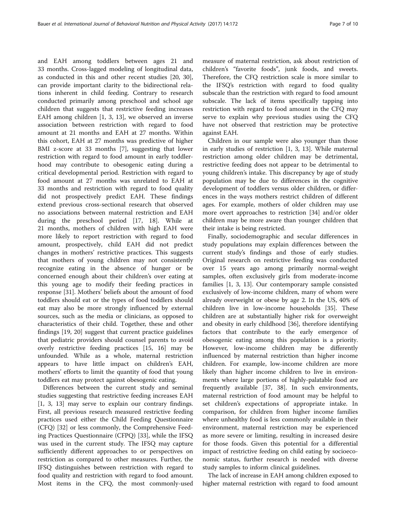and EAH among toddlers between ages 21 and 33 months. Cross-lagged modeling of longitudinal data, as conducted in this and other recent studies [\[20, 30](#page-8-0)], can provide important clarity to the bidirectional relations inherent in child feeding. Contrary to research conducted primarily among preschool and school age children that suggests that restrictive feeding increases EAH among children [[1, 3](#page-8-0), [13](#page-8-0)], we observed an inverse association between restriction with regard to food amount at 21 months and EAH at 27 months. Within this cohort, EAH at 27 months was predictive of higher BMI z-score at 33 months [[7\]](#page-8-0), suggesting that lower restriction with regard to food amount in early toddlerhood may contribute to obesogenic eating during a critical developmental period. Restriction with regard to food amount at 27 months was unrelated to EAH at 33 months and restriction with regard to food quality did not prospectively predict EAH. These findings extend previous cross-sectional research that observed no associations between maternal restriction and EAH during the preschool period [[17, 18](#page-8-0)]. While at 21 months, mothers of children with high EAH were more likely to report restriction with regard to food amount, prospectively, child EAH did not predict changes in mothers' restrictive practices. This suggests that mothers of young children may not consistently recognize eating in the absence of hunger or be concerned enough about their children's over eating at this young age to modify their feeding practices in response [[31](#page-8-0)]. Mothers' beliefs about the amount of food toddlers should eat or the types of food toddlers should eat may also be more strongly influenced by external sources, such as the media or clinicians, as opposed to characteristics of their child. Together, these and other findings [[19, 20](#page-8-0)] suggest that current practice guidelines that pediatric providers should counsel parents to avoid overly restrictive feeding practices [\[15, 16\]](#page-8-0) may be unfounded. While as a whole, maternal restriction appears to have little impact on children's EAH, mothers' efforts to limit the quantity of food that young toddlers eat may protect against obesogenic eating.

Differences between the current study and seminal studies suggesting that restrictive feeding increases EAH [[1, 3, 13\]](#page-8-0) may serve to explain our contrary findings. First, all previous research measured restrictive feeding practices used either the Child Feeding Questionnaire (CFQ) [\[32\]](#page-9-0) or less commonly, the Comprehensive Feeding Practices Questionnaire (CFPQ) [\[33](#page-9-0)], while the IFSQ was used in the current study. The IFSQ may capture sufficiently different approaches to or perspectives on restriction as compared to other measures. Further, the IFSQ distinguishes between restriction with regard to food quality and restriction with regard to food amount. Most items in the CFQ, the most commonly-used

measure of maternal restriction, ask about restriction of children's "favorite foods", junk foods, and sweets. Therefore, the CFQ restriction scale is more similar to the IFSQ's restriction with regard to food quality subscale than the restriction with regard to food amount subscale. The lack of items specifically tapping into restriction with regard to food amount in the CFQ may serve to explain why previous studies using the CFQ have not observed that restriction may be protective against EAH.

Children in our sample were also younger than those in early studies of restriction [[1, 3, 13\]](#page-8-0). While maternal restriction among older children may be detrimental, restrictive feeding does not appear to be detrimental to young children's intake. This discrepancy by age of study population may be due to differences in the cognitive development of toddlers versus older children, or differences in the ways mothers restrict children of different ages. For example, mothers of older children may use more overt approaches to restriction [\[34](#page-9-0)] and/or older children may be more aware than younger children that their intake is being restricted.

Finally, sociodemographic and secular differences in study populations may explain differences between the current study's findings and those of early studies. Original research on restrictive feeding was conducted over 15 years ago among primarily normal-weight samples, often exclusively girls from moderate-income families [\[1](#page-8-0), [3, 13\]](#page-8-0). Our contemporary sample consisted exclusively of low-income children, many of whom were already overweight or obese by age 2. In the US, 40% of children live in low-income households [\[35\]](#page-9-0). These children are at substantially higher risk for overweight and obesity in early childhood [\[36](#page-9-0)], therefore identifying factors that contribute to the early emergence of obesogenic eating among this population is a priority. However, low-income children may be differently influenced by maternal restriction than higher income children. For example, low-income children are more likely than higher income children to live in environments where large portions of highly-palatable food are frequently available [[37, 38\]](#page-9-0). In such environments, maternal restriction of food amount may be helpful to set children's expectations of appropriate intake. In comparison, for children from higher income families where unhealthy food is less commonly available in their environment, maternal restriction may be experienced as more severe or limiting, resulting in increased desire for those foods. Given this potential for a differential impact of restrictive feeding on child eating by socioeconomic status, further research is needed with diverse study samples to inform clinical guidelines.

The lack of increase in EAH among children exposed to higher maternal restriction with regard to food amount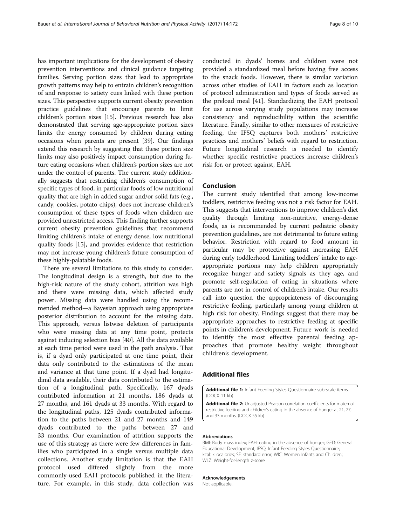<span id="page-7-0"></span>has important implications for the development of obesity prevention interventions and clinical guidance targeting families. Serving portion sizes that lead to appropriate growth patterns may help to entrain children's recognition of and response to satiety cues linked with these portion sizes. This perspective supports current obesity prevention practice guidelines that encourage parents to limit children's portion sizes [\[15\]](#page-8-0). Previous research has also demonstrated that serving age-appropriate portion sizes limits the energy consumed by children during eating occasions when parents are present [\[39\]](#page-9-0). Our findings extend this research by suggesting that these portion size limits may also positively impact consumption during future eating occasions when children's portion sizes are not under the control of parents. The current study additionally suggests that restricting children's consumption of specific types of food, in particular foods of low nutritional quality that are high in added sugar and/or solid fats (e.g., candy, cookies, potato chips), does not increase children's consumption of these types of foods when children are provided unrestricted access. This finding further supports current obesity prevention guidelines that recommend limiting children's intake of energy dense, low nutritional quality foods [\[15\]](#page-8-0), and provides evidence that restriction may not increase young children's future consumption of these highly-palatable foods.

There are several limitations to this study to consider. The longitudinal design is a strength, but due to the high-risk nature of the study cohort, attrition was high and there were missing data, which affected study power. Missing data were handled using the recommended method—a Bayesian approach using appropriate posterior distribution to account for the missing data. This approach, versus listwise deletion of participants who were missing data at any time point, protects against inducing selection bias [\[40\]](#page-9-0). All the data available at each time period were used in the path analysis. That is, if a dyad only participated at one time point, their data only contributed to the estimations of the mean and variance at that time point. If a dyad had longitudinal data available, their data contributed to the estimation of a longitudinal path. Specifically, 167 dyads contributed information at 21 months, 186 dyads at 27 months, and 161 dyads at 33 months. With regard to the longitudinal paths, 125 dyads contributed information to the paths between 21 and 27 months and 149 dyads contributed to the paths between 27 and 33 months. Our examination of attrition supports the use of this strategy as there were few differences in families who participated in a single versus multiple data collections. Another study limitation is that the EAH protocol used differed slightly from the more commonly-used EAH protocols published in the literature. For example, in this study, data collection was

conducted in dyads' homes and children were not provided a standardized meal before having free access to the snack foods. However, there is similar variation across other studies of EAH in factors such as location of protocol administration and types of foods served as the preload meal [\[41](#page-9-0)]. Standardizing the EAH protocol for use across varying study populations may increase consistency and reproducibility within the scientific literature. Finally, similar to other measures of restrictive feeding, the IFSQ captures both mothers' restrictive practices and mothers' beliefs with regard to restriction. Future longitudinal research is needed to identify whether specific restrictive practices increase children's risk for, or protect against, EAH.

## Conclusion

The current study identified that among low-income toddlers, restrictive feeding was not a risk factor for EAH. This suggests that interventions to improve children's diet quality through limiting non-nutritive, energy-dense foods, as is recommended by current pediatric obesity prevention guidelines, are not detrimental to future eating behavior. Restriction with regard to food amount in particular may be protective against increasing EAH during early toddlerhood. Limiting toddlers' intake to ageappropriate portions may help children appropriately recognize hunger and satiety signals as they age, and promote self-regulation of eating in situations where parents are not in control of children's intake. Our results call into question the appropriateness of discouraging restrictive feeding, particularly among young children at high risk for obesity. Findings suggest that there may be appropriate approaches to restrictive feeding at specific points in children's development. Future work is needed to identify the most effective parental feeding approaches that promote healthy weight throughout children's development.

## Additional files

[Additional file 1:](dx.doi.org/10.1186/s12966-017-0630-8) Infant Feeding Styles Questionnaire sub-scale items. (DOCX 11 kb)

[Additional file 2:](dx.doi.org/10.1186/s12966-017-0630-8) Unadjusted Pearson correlation coefficients for maternal restrictive feeding and children's eating in the absence of hunger at 21, 27, and 33 months. (DOCX 55 kb)

#### Abbreviations

BMI: Body mass index; EAH: eating in the absence of hunger; GED: General Educational Development; IFSQ: Infant Feeding Styles Questionnaire; kcal: kilocalories; SE: standard error; WIC: Women Infants and Children; WLZ: Weight-for-length z-score

#### Acknowledgements

Not applicable.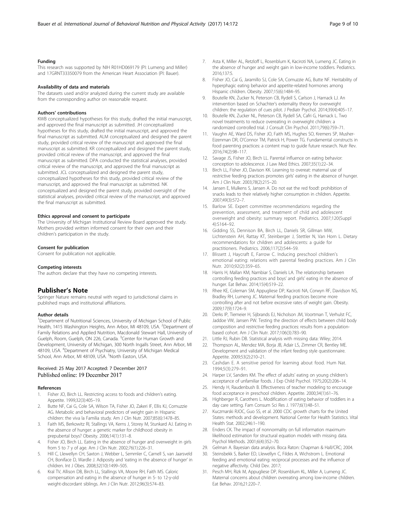#### <span id="page-8-0"></span>Funding

This research was supported by NIH R01HD069179 (PI: Lumeng and Miller) and 17GRNT33350079 from the American Heart Association (PI: Bauer).

#### Availability of data and materials

The datasets used and/or analyzed during the current study are available from the corresponding author on reasonable request.

#### Authors' contributions

KWB conceptualized hypotheses for this study, drafted the initial manuscript, and approved the final manuscript as submitted. JH conceptualized hypotheses for this study, drafted the initial manuscript, and approved the final manuscript as submitted. ALM conceptualized and designed the parent study, provided critical review of the manuscript and approved the final manuscript as submitted. KR conceptualized and designed the parent study, provided critical review of the manuscript, and approved the final manuscript as submitted. DPA conducted the statistical analyses, provided critical review of the manuscript, and approved the final manuscript as submitted. JCL conceptualized and designed the parent study, conceptualized hypotheses for this study, provided critical review of the manuscript, and approved the final manuscript as submitted. NK conceptualized and designed the parent study, provided oversight of the statistical analyses, provided critical review of the manuscript, and approved the final manuscript as submitted.

#### Ethics approval and consent to participate

The University of Michigan Institutional Review Board approved the study. Mothers provided written informed consent for their own and their children's participation in the study.

### Consent for publication

Consent for publication not applicable.

#### Competing interests

The authors declare that they have no competing interests.

#### Publisher's Note

Springer Nature remains neutral with regard to jurisdictional claims in published maps and institutional affiliations.

#### Author details

<sup>1</sup>Department of Nutritional Sciences, University of Michigan School of Public Health, 1415 Washington Heights, Ann Arbor, MI 48109, USA. <sup>2</sup>Department of Family Relations and Applied Nutrition, Macdonald Stewart Hall, University of Guelph, Room, Guelph, ON 226, Canada. <sup>3</sup>Center for Human Growth and Development, University of Michigan, 300 North Ingalls Street, Ann Arbor, MI 48109, USA. <sup>4</sup>Department of Psychiatry, University of Michigan Medical School, Ann Arbor, MI 48109, USA. <sup>5</sup>North Easton, USA.

#### Received: 25 May 2017 Accepted: 7 December 2017 Published online: 19 December 2017

#### References

- 1. Fisher JO, Birch LL. Restricting access to foods and children's eating. Appetite. 1999;32(3):405–19.
- 2. Butte NF, Cai G, Cole SA, Wilson TA, Fisher JO, Zakeri IF, Ellis KJ, Comuzzie AG. Metabolic and behavioral predictors of weight gain in Hispanic children: the viva la Familia study. Am J Clin Nutr. 2007;85(6):1478–85.
- 3. Faith MS, Berkowitz RI, Stallings VA, Kerns J, Storey M, Stunkard AJ. Eating in the absence of hunger: a genetic marker for childhood obesity in prepubertal boys? Obesity. 2006;14(1):131–8.
- 4. Fisher JO, Birch LL. Eating in the absence of hunger and overweight in girls from 5 to 7 y of age. Am J Clin Nutr. 2002;76(1):226–31.
- 5. Hill C, Llewellyn CH, Saxton J, Webber L, Semmler C, Carnell S, van Jaarsveld CH, Boniface D, Wardle J. Adiposity and 'eating in the absence of hunger' in children. Int J Obes. 2008;32(10):1499–505.
- 6. Kral TV, Allison DB, Birch LL, Stallings VA, Moore RH, Faith MS. Caloric compensation and eating in the absence of hunger in 5- to 12-y-old weight-discordant siblings. Am J Clin Nutr. 2012;96(3):574–83.
- 7. Asta K, Miller AL, Retzloff L, Rosenblum K, Kaciroti NA, Lumeng JC. Eating in the absence of hunger and weight gain in low-income toddlers. Pediatrics. 2016;137:5.
- 8. Fisher JO, Cai G, Jaramillo SJ, Cole SA, Comuzzie AG, Butte NF. Heritability of hyperphagic eating behavior and appetite-related hormones among Hispanic children. Obesity. 2007;15(6):1484–95.
- 9. Boutelle KN, Zucker N, Peterson CB, Rydell S, Carlson J, Harnack LJ. An intervention based on Schachter's externality theory for overweight children: the regulation of cues pilot. J Pediatr Psychol. 2014;39(4):405–17.
- 10. Boutelle KN, Zucker NL, Peterson CB, Rydell SA, Cafri G, Harnack L. Two novel treatments to reduce overeating in overweight children: a randomized controlled trial. J Consult Clin Psychol. 2011;79(6):759–71.
- 11. Vaughn AE, Ward DS, Fisher JO, Faith MS, Hughes SO, Kremers SP, Musher-Eizenman DR, O'Connor TM, Patrick H, Power TG. Fundamental constructs in food parenting practices: a content map to guide future research. Nutr Rev. 2016;74(2):98–117.
- 12. Savage JS, Fisher JO, Birch LL. Parental influence on eating behavior: conception to adolescence. J Law Med Ethics. 2007;35(1):22–34.
- 13. Birch LL, Fisher JO, Davison KK. Learning to overeat: maternal use of restrictive feeding practices promotes girls' eating in the absence of hunger. Am J Clin Nutr. 2003;78(2):215–20.
- 14. Jansen E, Mulkens S, Jansen A. Do not eat the red food!: prohibition of snacks leads to their relatively higher consumption in children. Appetite. 2007;49(3):572–7.
- 15. Barlow SE. Expert committee recommendations regarding the prevention, assessment, and treatment of child and adolescent overweight and obesity: summary report. Pediatrics. 2007;120(Suppl 4):S164–92.
- 16. Gidding SS, Dennison BA, Birch LL, Daniels SR, Gillman MW, Lichtenstein AH, Rattay KT, Steinberger J, Stettler N, Van Horn L. Dietary recommendations for children and adolescents: a guide for practitioners. Pediatrics. 2006;117(2):544–59.
- 17. Blissett J, Haycraft E, Farrow C. Inducing preschool children's emotional eating: relations with parental feeding practices. Am J Clin Nutr. 2010;92(2):359–65.
- 18. Harris H, Mallan KM, Nambiar S, Daniels LA. The relationship between controlling feeding practices and boys' and girls' eating in the absence of hunger. Eat Behav. 2014;15(4):519–22.
- 19. Rhee KE, Coleman SM, Appugliese DP, Kaciroti NA, Corwyn RF, Davidson NS, Bradley RH, Lumeng JC. Maternal feeding practices become more controlling after and not before excessive rates of weight gain. Obesity. 2009;17(9):1724–9.
- 20. Derks IP, Tiemeier H, Sijbrands EJ, Nicholson JM, Voortman T, Verhulst FC, Jaddoe VW, Jansen PW. Testing the direction of effects between child body composition and restrictive feeding practices: results from a populationbased cohort. Am J Clin Nutr. 2017;106(3):783–90.
- 21. Little RJ, Rubin DB. Statistical analysis with missing data: Wiley; 2014.
- 22. Thompson AL, Mendez MA, Borja JB, Adair LS, Zimmer CR, Bentley ME. Development and validation of the infant feeding style questionnaire. Appetite. 2009;53(2):210–21.
- 23. Cashdan E. A sensitive period for learning about food. Hum Nat. 1994;5(3):279–91.
- 24. Harper LV, Sanders KM. The effect of adults' eating on young children's acceptance of unfamiliar foods. J Exp Child Psychol. 1975;20(2):206–14.
- 25. Hendy H, Raudenbush B. Effectiveness of teacher modeling to encourage food acceptance in preschool children. Appetite. 2000;34(1):61–76.
- 26. Highberger R, Carothers L. Modification of eating behavior of toddlers in a day care setting. Fam Consum Sci Res J. 1977;6(1):48–51.
- 27. Kuczmarski RJOC, Guo SS, et al. 2000 CDC growth charts for the United States: methods and development. National Center for Health Statistics. Vital Health Stat. 2002;246:1–190.
- 28. Enders CK. The impact of nonnormality on full information maximumlikelihood estimation for structural equation models with missing data. Psychol Methods. 2001;6(4):352–70.
- 29. Gelman A. Bayesian data analysis. Boca Raton: Chapman & Hall/CRC; 2004.
- 30. Steinsbekk S, Barker ED, Llewellyn C, Fildes A, Wichstrom L. Emotional feeding and emotional eating: reciprocal processes and the influence of negative affectivity. Child Dev. 2017;
- 31. Pesch MH, Rizk M, Appugliese DP, Rosenblum KL, Miller A, Lumeng JC. Maternal concerns about children overeating among low-income children. Eat Behav. 2016;21:220–7.